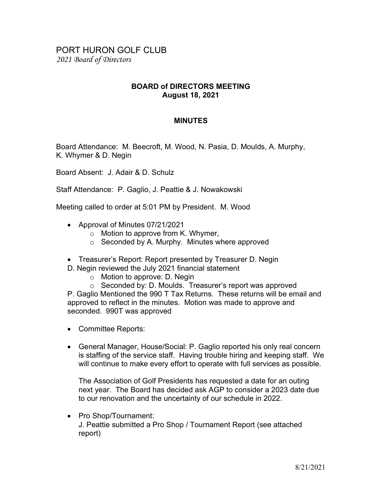## PORT HURON GOLF CLUB 2021 Board of Directors

## BOARD of DIRECTORS MEETING August 18, 2021

## MINUTES

Board Attendance: M. Beecroft, M. Wood, N. Pasia, D. Moulds, A. Murphy, K. Whymer & D. Negin

Board Absent: J. Adair & D. Schulz

Staff Attendance: P. Gaglio, J. Peattie & J. Nowakowski

Meeting called to order at 5:01 PM by President. M. Wood

- Approval of Minutes 07/21/2021
	- o Motion to approve from K. Whymer,
	- $\circ$  Seconded by A. Murphy. Minutes where approved
- Treasurer's Report: Report presented by Treasurer D. Negin
- D. Negin reviewed the July 2021 financial statement
	- o Motion to approve: D. Negin
	- o Seconded by: D. Moulds. Treasurer's report was approved

P. Gaglio Mentioned the 990 T Tax Returns. These returns will be email and approved to reflect in the minutes. Motion was made to approve and seconded. 990T was approved

- Committee Reports:
- General Manager, House/Social: P. Gaglio reported his only real concern is staffing of the service staff. Having trouble hiring and keeping staff. We will continue to make every effort to operate with full services as possible.

The Association of Golf Presidents has requested a date for an outing next year. The Board has decided ask AGP to consider a 2023 date due to our renovation and the uncertainty of our schedule in 2022.

• Pro Shop/Tournament: J. Peattie submitted a Pro Shop / Tournament Report (see attached report)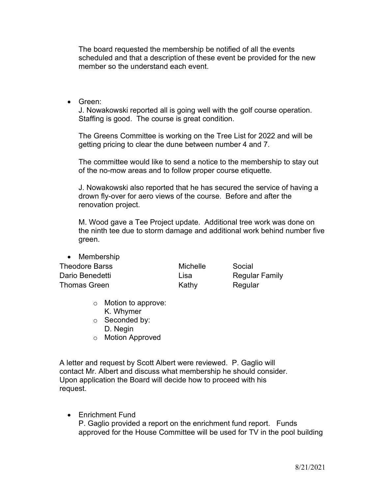The board requested the membership be notified of all the events scheduled and that a description of these event be provided for the new member so the understand each event.

Green:

J. Nowakowski reported all is going well with the golf course operation. Staffing is good. The course is great condition.

The Greens Committee is working on the Tree List for 2022 and will be getting pricing to clear the dune between number 4 and 7.

The committee would like to send a notice to the membership to stay out of the no-mow areas and to follow proper course etiquette.

J. Nowakowski also reported that he has secured the service of having a drown fly-over for aero views of the course. Before and after the renovation project.

M. Wood gave a Tee Project update. Additional tree work was done on the ninth tee due to storm damage and additional work behind number five green.

| • Membership          |          |                       |
|-----------------------|----------|-----------------------|
| <b>Theodore Barss</b> | Michelle | Social                |
| Dario Benedetti       | Lisa     | <b>Regular Family</b> |
| <b>Thomas Green</b>   | Kathy    | Regular               |
|                       |          |                       |

- o Motion to approve: K. Whymer
- o Seconded by: D. Negin

Membership in

o Motion Approved

A letter and request by Scott Albert were reviewed. P. Gaglio will contact Mr. Albert and discuss what membership he should consider. Upon application the Board will decide how to proceed with his request.

 Enrichment Fund P. Gaglio provided a report on the enrichment fund report. Funds approved for the House Committee will be used for TV in the pool building